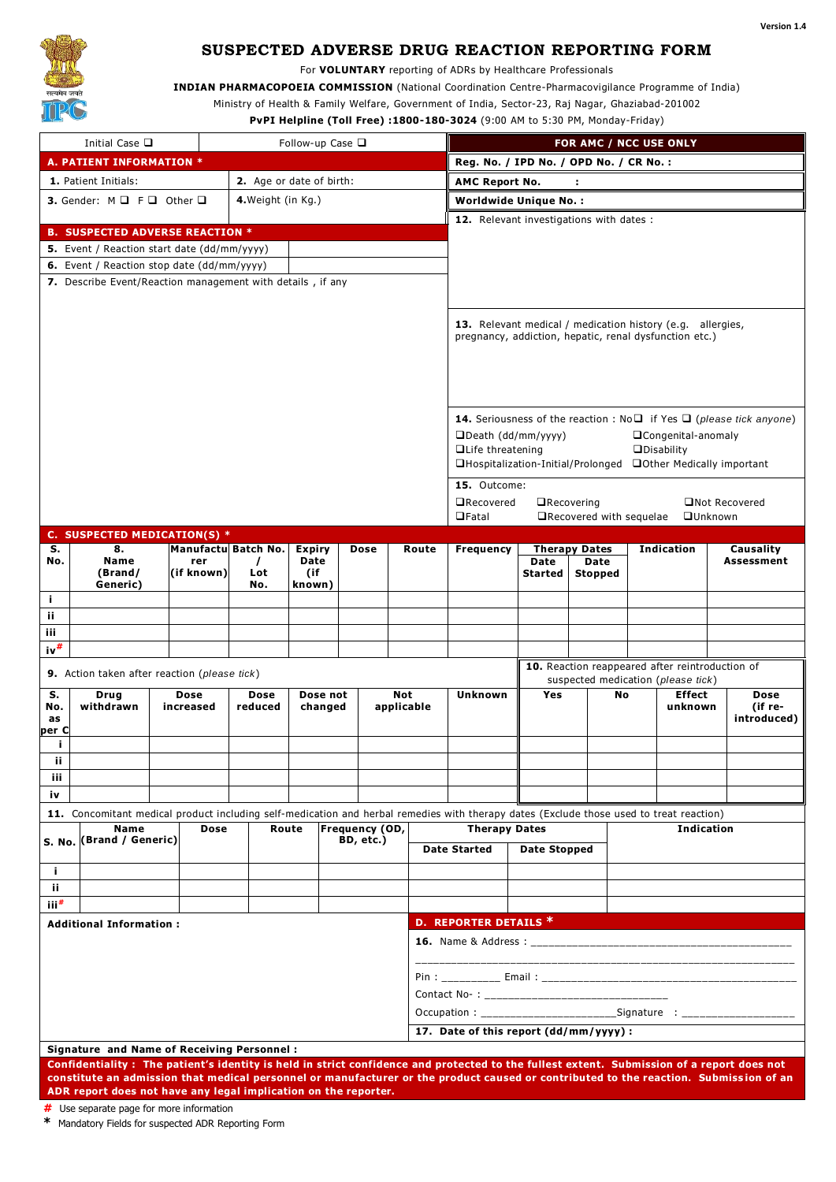

# **SUSPECTED ADVERSE DRUG REACTION REPORTING FORM**

For **VOLUNTARY** reporting of ADRs by Healthcare Professionals

**INDIAN PHARMACOPOEIA COMMISSION** (National Coordination Centre-Pharmacovigilance Programme of India)

Ministry of Health & Family Welfare, Government of India, Sector-23, Raj Nagar, Ghaziabad-201002

**PvPI Helpline (Toll Free) :1800-180-3024** (9:00 AM to 5:30 PM, Monday-Friday)

| Initial Case □<br>Follow-up Case $\Box$                                                 |                                                                                                                                           |                                                                                      |                   |                     |               |     |             |            |                                                                                       |                                                               |                          |            |                   |                 |             |  |  |
|-----------------------------------------------------------------------------------------|-------------------------------------------------------------------------------------------------------------------------------------------|--------------------------------------------------------------------------------------|-------------------|---------------------|---------------|-----|-------------|------------|---------------------------------------------------------------------------------------|---------------------------------------------------------------|--------------------------|------------|-------------------|-----------------|-------------|--|--|
| A. PATIENT INFORMATION *                                                                |                                                                                                                                           |                                                                                      |                   |                     |               |     |             |            | FOR AMC / NCC USE ONLY<br>Reg. No. / IPD No. / OPD No. / CR No. :                     |                                                               |                          |            |                   |                 |             |  |  |
| 1. Patient Initials:<br>2. Age or date of birth:                                        |                                                                                                                                           |                                                                                      |                   |                     |               |     |             |            | <b>AMC Report No.</b><br>÷                                                            |                                                               |                          |            |                   |                 |             |  |  |
| 4. Weight (in Kg.)                                                                      |                                                                                                                                           |                                                                                      |                   |                     |               |     |             |            | <b>Worldwide Unique No.:</b>                                                          |                                                               |                          |            |                   |                 |             |  |  |
| <b>3.</b> Gender: $M \square F \square$ Other $\square$                                 |                                                                                                                                           |                                                                                      |                   |                     |               |     |             |            |                                                                                       | 12. Relevant investigations with dates :                      |                          |            |                   |                 |             |  |  |
|                                                                                         | <b>B. SUSPECTED ADVERSE REACTION *</b>                                                                                                    |                                                                                      |                   |                     |               |     |             |            |                                                                                       |                                                               |                          |            |                   |                 |             |  |  |
|                                                                                         | 5. Event / Reaction start date (dd/mm/yyyy)                                                                                               |                                                                                      |                   |                     |               |     |             |            |                                                                                       |                                                               |                          |            |                   |                 |             |  |  |
|                                                                                         | 6. Event / Reaction stop date (dd/mm/yyyy)                                                                                                |                                                                                      |                   |                     |               |     |             |            |                                                                                       |                                                               |                          |            |                   |                 |             |  |  |
|                                                                                         | 7. Describe Event/Reaction management with details, if any                                                                                |                                                                                      |                   |                     |               |     |             |            |                                                                                       |                                                               |                          |            |                   |                 |             |  |  |
|                                                                                         |                                                                                                                                           |                                                                                      |                   |                     |               |     |             |            |                                                                                       |                                                               |                          |            |                   |                 |             |  |  |
|                                                                                         |                                                                                                                                           |                                                                                      |                   |                     |               |     |             |            |                                                                                       | 13. Relevant medical / medication history (e.g. allergies,    |                          |            |                   |                 |             |  |  |
|                                                                                         |                                                                                                                                           | pregnancy, addiction, hepatic, renal dysfunction etc.)                               |                   |                     |               |     |             |            |                                                                                       |                                                               |                          |            |                   |                 |             |  |  |
|                                                                                         |                                                                                                                                           |                                                                                      |                   |                     |               |     |             |            |                                                                                       |                                                               |                          |            |                   |                 |             |  |  |
|                                                                                         |                                                                                                                                           |                                                                                      |                   |                     |               |     |             |            |                                                                                       |                                                               |                          |            |                   |                 |             |  |  |
|                                                                                         |                                                                                                                                           |                                                                                      |                   |                     |               |     |             |            |                                                                                       |                                                               |                          |            |                   |                 |             |  |  |
|                                                                                         |                                                                                                                                           | <b>14.</b> Seriousness of the reaction : $No\Box$ if Yes $\Box$ (please tick anyone) |                   |                     |               |     |             |            |                                                                                       |                                                               |                          |            |                   |                 |             |  |  |
|                                                                                         |                                                                                                                                           |                                                                                      |                   |                     |               |     |             |            |                                                                                       | □Death (dd/mm/yyyy)<br>□Congenital-anomaly                    |                          |            |                   |                 |             |  |  |
|                                                                                         |                                                                                                                                           |                                                                                      |                   |                     |               |     |             |            |                                                                                       | <b>ODisability</b><br>□Life threatening                       |                          |            |                   |                 |             |  |  |
|                                                                                         |                                                                                                                                           |                                                                                      |                   |                     |               |     |             |            |                                                                                       | □Hospitalization-Initial/Prolonged □Other Medically important |                          |            |                   |                 |             |  |  |
|                                                                                         |                                                                                                                                           |                                                                                      |                   |                     |               |     |             |            | 15. Outcome:                                                                          |                                                               |                          |            |                   |                 |             |  |  |
|                                                                                         |                                                                                                                                           |                                                                                      |                   |                     |               |     |             |            | <b>ORecovered</b><br>$\Box$ Recovering<br>□Not Recovered                              |                                                               |                          |            |                   |                 |             |  |  |
|                                                                                         |                                                                                                                                           |                                                                                      |                   |                     |               |     |             |            | $\Box$ Fatal                                                                          |                                                               | □Recovered with sequelae |            |                   | <b>QUnknown</b> |             |  |  |
| s.                                                                                      | C. SUSPECTED MEDICATION(S) *<br>8.                                                                                                        |                                                                                      |                   | Manufactu Batch No. | <b>Expiry</b> |     | <b>Dose</b> | Route      |                                                                                       |                                                               | <b>Therapy Dates</b>     | Indication |                   | Causality       |             |  |  |
| No.                                                                                     | <b>Name</b><br>(Brand/<br>Generic)                                                                                                        |                                                                                      | rer               | $\prime$            | Date          |     |             |            | Frequency                                                                             | Date                                                          | Date                     |            |                   |                 | Assessment  |  |  |
|                                                                                         |                                                                                                                                           |                                                                                      | (if known)        | Lot<br>No.          | (if<br>known) |     |             |            |                                                                                       | <b>Started</b>                                                | <b>Stopped</b>           |            |                   |                 |             |  |  |
| j.                                                                                      |                                                                                                                                           |                                                                                      |                   |                     |               |     |             |            |                                                                                       |                                                               |                          |            |                   |                 |             |  |  |
| ij.                                                                                     |                                                                                                                                           |                                                                                      |                   |                     |               |     |             |            |                                                                                       |                                                               |                          |            |                   |                 |             |  |  |
| iii.                                                                                    |                                                                                                                                           |                                                                                      |                   |                     |               |     |             |            |                                                                                       |                                                               |                          |            |                   |                 |             |  |  |
| $\mathsf{iv}^\#$                                                                        |                                                                                                                                           |                                                                                      |                   |                     |               |     |             |            |                                                                                       |                                                               |                          |            |                   |                 |             |  |  |
| 9. Action taken after reaction (please tick)                                            |                                                                                                                                           |                                                                                      |                   |                     |               |     |             |            | 10. Reaction reappeared after reintroduction of<br>suspected medication (please tick) |                                                               |                          |            |                   |                 |             |  |  |
| s.                                                                                      | Drug                                                                                                                                      | Dose                                                                                 | Dose not          |                     |               | Not | Unknown     | <b>Yes</b> |                                                                                       | <b>Effect</b><br>No                                           |                          |            | Dose              |                 |             |  |  |
| No.                                                                                     | withdrawn                                                                                                                                 |                                                                                      | Dose<br>increased | reduced             | changed       |     |             | applicable |                                                                                       |                                                               |                          | unknown    |                   | (if re-         |             |  |  |
| as<br>per C                                                                             |                                                                                                                                           |                                                                                      |                   |                     |               |     |             |            |                                                                                       |                                                               |                          |            |                   |                 | introduced) |  |  |
| j.                                                                                      |                                                                                                                                           |                                                                                      |                   |                     |               |     |             |            |                                                                                       |                                                               |                          |            |                   |                 |             |  |  |
| ij.                                                                                     |                                                                                                                                           |                                                                                      |                   |                     |               |     |             |            |                                                                                       |                                                               |                          |            |                   |                 |             |  |  |
| iii                                                                                     |                                                                                                                                           |                                                                                      |                   |                     |               |     |             |            |                                                                                       |                                                               |                          |            |                   |                 |             |  |  |
| iv                                                                                      |                                                                                                                                           |                                                                                      |                   |                     |               |     |             |            |                                                                                       |                                                               |                          |            |                   |                 |             |  |  |
|                                                                                         | 11. Concomitant medical product including self-medication and herbal remedies with therapy dates (Exclude those used to treat reaction)   |                                                                                      |                   |                     |               |     |             |            |                                                                                       |                                                               |                          |            |                   |                 |             |  |  |
| Frequency (OD,<br><b>Name</b><br>Route<br>Dose<br>S. No. (Brand / Generic)<br>BD, etc.) |                                                                                                                                           |                                                                                      |                   |                     |               |     |             |            | <b>Therapy Dates</b>                                                                  |                                                               |                          |            | <b>Indication</b> |                 |             |  |  |
|                                                                                         |                                                                                                                                           |                                                                                      |                   |                     |               |     |             |            | <b>Date Started</b>                                                                   |                                                               | <b>Date Stopped</b>      |            |                   |                 |             |  |  |
| j.                                                                                      |                                                                                                                                           |                                                                                      |                   |                     |               |     |             |            |                                                                                       |                                                               |                          |            |                   |                 |             |  |  |
| ijΓ.                                                                                    |                                                                                                                                           |                                                                                      |                   |                     |               |     |             |            |                                                                                       |                                                               |                          |            |                   |                 |             |  |  |
| $\mathbf{iii}^{\#}$                                                                     |                                                                                                                                           |                                                                                      |                   |                     |               |     |             |            |                                                                                       |                                                               |                          |            |                   |                 |             |  |  |
| <b>Additional Information:</b>                                                          |                                                                                                                                           |                                                                                      |                   |                     |               |     |             |            | D. REPORTER DETAILS *                                                                 |                                                               |                          |            |                   |                 |             |  |  |
|                                                                                         |                                                                                                                                           |                                                                                      |                   |                     |               |     |             |            |                                                                                       |                                                               |                          |            |                   |                 |             |  |  |
|                                                                                         |                                                                                                                                           |                                                                                      |                   |                     |               |     |             |            |                                                                                       |                                                               |                          |            |                   |                 |             |  |  |
|                                                                                         |                                                                                                                                           |                                                                                      |                   |                     |               |     |             |            |                                                                                       |                                                               |                          |            |                   |                 |             |  |  |
|                                                                                         |                                                                                                                                           |                                                                                      |                   |                     |               |     |             |            | Occupation : ________________________________Signature : _______________________      |                                                               |                          |            |                   |                 |             |  |  |
|                                                                                         |                                                                                                                                           |                                                                                      |                   |                     |               |     |             |            | 17. Date of this report (dd/mm/yyyy):                                                 |                                                               |                          |            |                   |                 |             |  |  |
|                                                                                         | Signature and Name of Receiving Personnel:                                                                                                |                                                                                      |                   |                     |               |     |             |            |                                                                                       |                                                               |                          |            |                   |                 |             |  |  |
|                                                                                         | Confidentiality: The nationt's identity is held in strict confidence and protected to the fullest extent. Submission of a report does not |                                                                                      |                   |                     |               |     |             |            |                                                                                       |                                                               |                          |            |                   |                 |             |  |  |

**Confidentiality : The patient's identity is held in strict confidence and protected to the fullest extent. Submission of a report does not constitute an admission that medical personnel or manufacturer or the product caused or contributed to the reaction. Submiss ion of an ADR report does not have any legal implication on the reporter.**

**#** Use separate page for more information

**\*** Mandatory Fields for suspected ADR Reporting Form